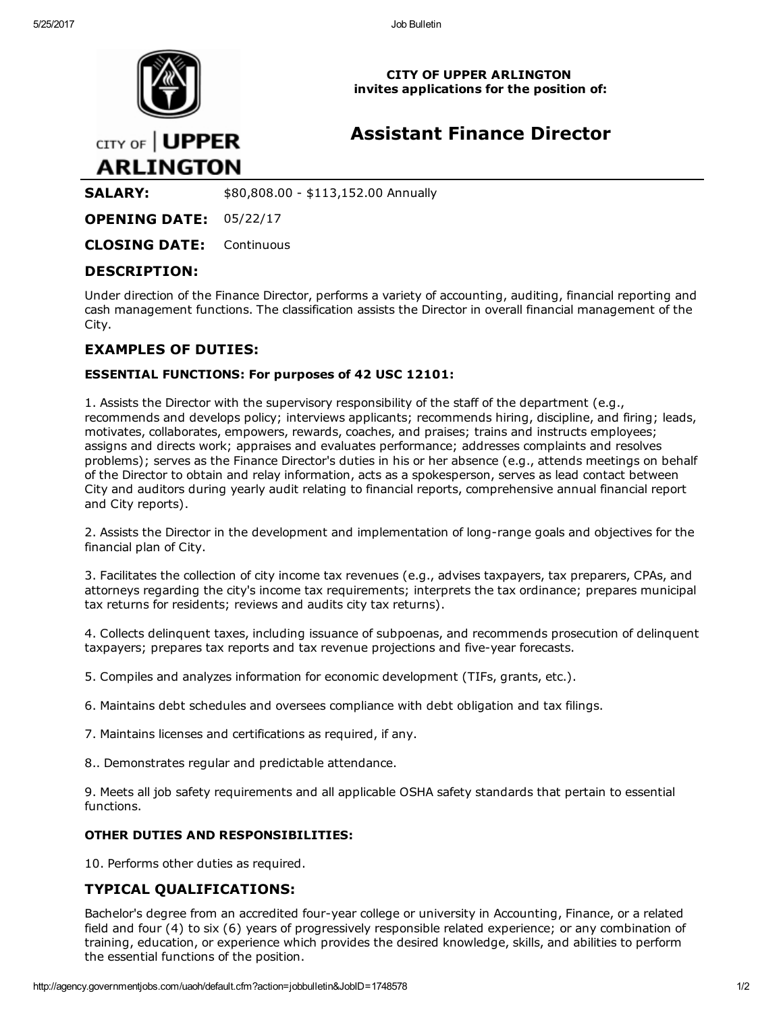

CITY OF UPPER ARLINGTON invites applications for the position of:

# Assistant Finance Director

CITY OF | UPPER **ARLINGTON** 

**SALARY:**  $$80,808.00 - $113,152.00$  Annually

OPENING DATE: 05/22/17

CLOSING DATE: Continuous

## DESCRIPTION:

Under direction of the Finance Director, performs a variety of accounting, auditing, financial reporting and cash management functions. The classification assists the Director in overall financial management of the City.

### EXAMPLES OF DUTIES:

#### ESSENTIAL FUNCTIONS: For purposes of 42 USC 12101:

1. Assists the Director with the supervisory responsibility of the staff of the department (e.g., recommends and develops policy; interviews applicants; recommends hiring, discipline, and firing; leads, motivates, collaborates, empowers, rewards, coaches, and praises; trains and instructs employees; assigns and directs work; appraises and evaluates performance; addresses complaints and resolves problems); serves as the Finance Director's duties in his or her absence (e.g., attends meetings on behalf of the Director to obtain and relay information, acts as a spokesperson, serves as lead contact between City and auditors during yearly audit relating to financial reports, comprehensive annual financial report and City reports).

2. Assists the Director in the development and implementation of long-range goals and objectives for the financial plan of City.

3. Facilitates the collection of city income tax revenues (e.g., advises taxpayers, tax preparers, CPAs, and attorneys regarding the city's income tax requirements; interprets the tax ordinance; prepares municipal tax returns for residents; reviews and audits city tax returns).

4. Collects delinquent taxes, including issuance of subpoenas, and recommends prosecution of delinquent taxpayers; prepares tax reports and tax revenue projections and five-year forecasts.

5. Compiles and analyzes information for economic development (TIFs, grants, etc.).

6. Maintains debt schedules and oversees compliance with debt obligation and tax filings.

7. Maintains licenses and certifications as required, if any.

8.. Demonstrates regular and predictable attendance.

9. Meets all job safety requirements and all applicable OSHA safety standards that pertain to essential functions.

#### OTHER DUTIES AND RESPONSIBILITIES:

10. Performs other duties as required.

## TYPICAL QUALIFICATIONS:

Bachelor's degree from an accredited four-year college or university in Accounting, Finance, or a related field and four (4) to six (6) years of progressively responsible related experience; or any combination of training, education, or experience which provides the desired knowledge, skills, and abilities to perform the essential functions of the position.